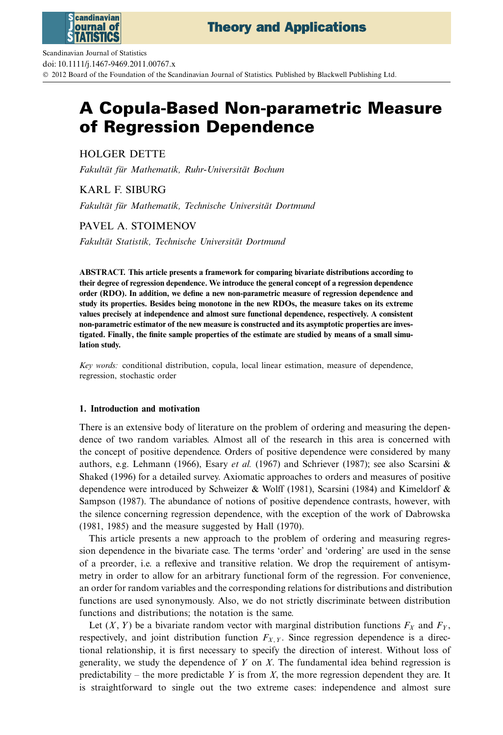

Scandinavian Journal of Statistics doi: 10.1111/j.1467-9469.2011.00767.x © 2012 Board of the Foundation of the Scandinavian Journal of Statistics. Published by Blackwell Publishing Ltd.

# **A Copula-Based Non-parametric Measure of Regression Dependence**

HOLGER DETTE

*Fakultät für Mathematik, Ruhr-Universität Bochum*

KARL F. SIBURG

*Fakultät für Mathematik, Technische Universität Dortmund*

PAVEL A. STOIMENOV

*Fakultät Statistik, Technische Universität Dortmund*

**ABSTRACT. This article presents a framework for comparing bivariate distributions according to their degree of regression dependence. We introduce the general concept of a regression dependence order (RDO). In addition, we define a new non-parametric measure of regression dependence and study its properties. Besides being monotone in the new RDOs, the measure takes on its extreme values precisely at independence and almost sure functional dependence, respectively. A consistent non-parametric estimator of the new measure is constructed and its asymptotic properties are investigated. Finally, the finite sample properties of the estimate are studied by means of a small simulation study.**

*Key words:* conditional distribution, copula, local linear estimation, measure of dependence, regression, stochastic order

# **1. Introduction and motivation**

There is an extensive body of literature on the problem of ordering and measuring the dependence of two random variables. Almost all of the research in this area is concerned with the concept of positive dependence. Orders of positive dependence were considered by many authors, e.g. Lehmann (1966), Esary *et al.* (1967) and Schriever (1987); see also Scarsini & Shaked (1996) for a detailed survey. Axiomatic approaches to orders and measures of positive dependence were introduced by Schweizer & Wolff (1981), Scarsini (1984) and Kimeldorf & Sampson (1987). The abundance of notions of positive dependence contrasts, however, with the silence concerning regression dependence, with the exception of the work of Dabrowska (1981, 1985) and the measure suggested by Hall (1970).

This article presents a new approach to the problem of ordering and measuring regression dependence in the bivariate case. The terms 'order' and 'ordering' are used in the sense of a preorder, i.e. a reflexive and transitive relation. We drop the requirement of antisymmetry in order to allow for an arbitrary functional form of the regression. For convenience, an order for random variables and the corresponding relations for distributions and distribution functions are used synonymously. Also, we do not strictly discriminate between distribution functions and distributions; the notation is the same.

Let  $(X, Y)$  be a bivariate random vector with marginal distribution functions  $F_X$  and  $F_Y$ , respectively, and joint distribution function  $F_{X,Y}$ . Since regression dependence is a directional relationship, it is first necessary to specify the direction of interest. Without loss of generality, we study the dependence of *Y* on *X*. The fundamental idea behind regression is predictability – the more predictable *Y* is from *X*, the more regression dependent they are. It is straightforward to single out the two extreme cases: independence and almost sure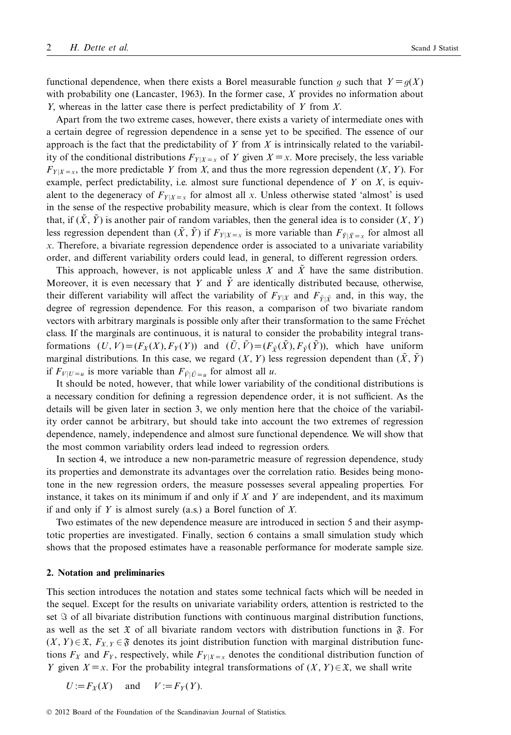functional dependence, when there exists a Borel measurable function q such that  $Y = q(X)$ with probability one (Lancaster, 1963). In the former case, *X* provides no information about *Y*, whereas in the latter case there is perfect predictability of *Y* from *X*.

Apart from the two extreme cases, however, there exists a variety of intermediate ones with a certain degree of regression dependence in a sense yet to be specified. The essence of our approach is the fact that the predictability of *Y* from *X* is intrinsically related to the variability of the conditional distributions  $F_{Y|X=x}$  of *Y* given  $X=x$ . More precisely, the less variable  $F_{Y|X=x}$ , the more predictable *Y* from *X*, and thus the more regression dependent (*X*, *Y*). For example, perfect predictability, i.e. almost sure functional dependence of *Y* on *X*, is equivalent to the degeneracy of  $F_{Y|X=x}$  for almost all *x*. Unless otherwise stated 'almost' is used in the sense of the respective probability measure, which is clear from the context. It follows that, if  $(\tilde{X}, \tilde{Y})$  is another pair of random variables, then the general idea is to consider  $(X, Y)$ less regression dependent than  $(\tilde{X}, \tilde{Y})$  if  $F_{Y|X=x}$  is more variable than  $F_{\tilde{Y}|\tilde{X}=x}$  for almost all *x*. Therefore, a bivariate regression dependence order is associated to a univariate variability order, and different variability orders could lead, in general, to different regression orders.

This approach, however, is not applicable unless  $X$  and  $\overline{X}$  have the same distribution. Moreover, it is even necessary that *Y* and  $\tilde{Y}$  are identically distributed because, otherwise, their different variability will affect the variability of  $F_{Y|X}$  and  $F_{\tilde{Y}|\tilde{X}}$  and, in this way, the degree of regression dependence. For this reason, a comparison of two bivariate random vectors with arbitrary marginals is possible only after their transformation to the same Fréchet class. If the marginals are continuous, it is natural to consider the probability integral transformations  $(U, V) = (F_X(X), F_Y(Y))$  and  $(\tilde{U}, \tilde{V}) = (F_{\tilde{Y}}(\tilde{X}), F_{\tilde{Y}}(\tilde{Y}))$ , which have uniform marginal distributions. In this case, we regard  $(X, Y)$  less regression dependent than  $(\tilde{X}, \tilde{Y})$ if  $F_{V|U=u}$  is more variable than  $F_{\tilde{V}|\tilde{U}=u}$  for almost all *u*.

It should be noted, however, that while lower variability of the conditional distributions is a necessary condition for defining a regression dependence order, it is not sufficient. As the details will be given later in section 3, we only mention here that the choice of the variability order cannot be arbitrary, but should take into account the two extremes of regression dependence, namely, independence and almost sure functional dependence. We will show that the most common variability orders lead indeed to regression orders.

In section 4, we introduce a new non-parametric measure of regression dependence, study its properties and demonstrate its advantages over the correlation ratio. Besides being monotone in the new regression orders, the measure possesses several appealing properties. For instance, it takes on its minimum if and only if *X* and *Y* are independent, and its maximum if and only if *Y* is almost surely (a.s.) a Borel function of *X*.

Two estimates of the new dependence measure are introduced in section 5 and their asymptotic properties are investigated. Finally, section 6 contains a small simulation study which shows that the proposed estimates have a reasonable performance for moderate sample size.

## **2. Notation and preliminaries**

This section introduces the notation and states some technical facts which will be needed in the sequel. Except for the results on univariate variability orders, attention is restricted to the set  $\Im$  of all bivariate distribution functions with continuous marginal distribution functions, as well as the set  $\mathfrak X$  of all bivariate random vectors with distribution functions in  $\mathfrak F$ . For  $(X, Y) \in \mathfrak{X}$ ,  $F_{X, Y} \in \mathfrak{F}$  denotes its joint distribution function with marginal distribution functions  $F_X$  and  $F_Y$ , respectively, while  $F_{Y|X=x}$  denotes the conditional distribution function of *Y* given *X* = *x*. For the probability integral transformations of  $(X, Y) \in \mathcal{X}$ , we shall write

 $U := F_Y(X)$  and  $V := F_Y(Y)$ .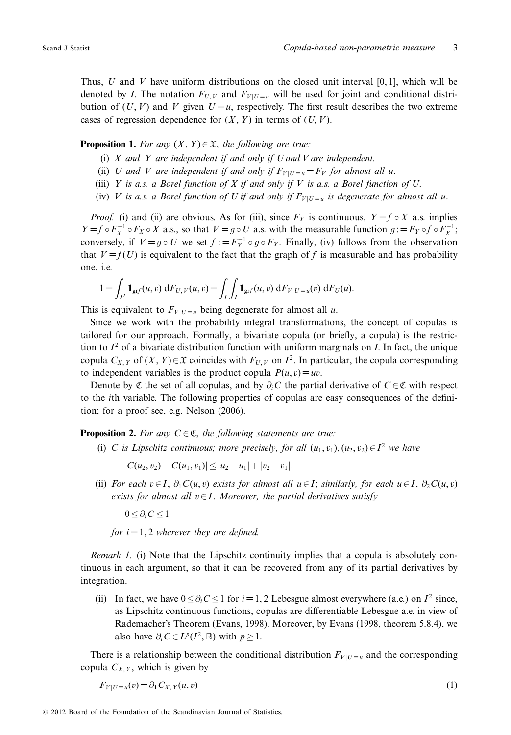Thus, *U* and *V* have uniform distributions on the closed unit interval [0, 1], which will be denoted by *I*. The notation  $F_{U,V}$  and  $F_{V|U=u}$  will be used for joint and conditional distribution of  $(U, V)$  and  $V$  given  $U = u$ , respectively. The first result describes the two extreme cases of regression dependence for  $(X, Y)$  in terms of  $(U, V)$ .

# **Proposition 1.** For any  $(X, Y) \in \mathfrak{X}$ , the following are true:

- (i) *X and Y are independent if and only if U and V are independent.*
- (ii) *U* and *V* are independent if and only if  $F_{V|U=u} = F_V$  for almost all *u*.
- (iii) *Y is a.s. a Borel function of X if and only if V is a.s. a Borel function of U*.
- (iv) *V* is a.s. a Borel function of *U* if and only if  $F_{V|U=u}$  is degenerate for almost all u.

*Proof.* (i) and (ii) are obvious. As for (iii), since  $F_X$  is continuous,  $Y = f \circ X$  a.s. implies *Y* = *f* ◦ *F<sub>X</sub>*<sup> $1$ </sup> ◦ *F<sub>X</sub>* ◦ *X* a.s., so that *V* = *g* ◦ *U* a.s. with the measurable function  $g := F_Y \circ f \circ F_X^{-1}$ ; conversely if  $V = g \circ I$  we set  $f := F^{-1} \circ g \circ F$ . Finally (iv) follows from the observation conversely, if  $V = g \circ U$  we set  $f := F_Y^{-1} \circ g \circ F_X$ . Finally, (iv) follows from the observation that  $V = f(U)$  is equivalent to the fact that the graph of f is measurable and has probability that  $V = f(U)$  is equivalent to the fact that the graph of f is measurable and has probability one, i.e.

$$
1 = \int_{I^2} \mathbf{1}_{\text{grf}}(u, v) \, dF_{U, V}(u, v) = \int_I \int_I \mathbf{1}_{\text{grf}}(u, v) \, dF_{V|U=u}(v) \, dF_U(u).
$$

This is equivalent to  $F_{V|U=u}$  being degenerate for almost all *u*.

Since we work with the probability integral transformations, the concept of copulas is tailored for our approach. Formally, a bivariate copula (or briefly, a copula) is the restriction to  $I^2$  of a bivariate distribution function with uniform marginals on *I*. In fact, the unique copula  $C_{X,Y}$  of  $(X, Y) \in \mathfrak{X}$  coincides with  $F_{U,V}$  on  $I^2$ . In particular, the copula corresponding to independent variables is the product copula  $P(u, v) = uv$ .

Denote by  $\mathfrak C$  the set of all copulas, and by  $\partial_i C$  the partial derivative of  $C \in \mathfrak C$  with respect to the *i*th variable. The following properties of copulas are easy consequences of the definition; for a proof see, e.g. Nelson (2006).

**Proposition 2.** For any  $C \in \mathfrak{C}$ , the following statements are true:

(i) *C* is Lipschitz continuous; more precisely, for all  $(u_1, v_1), (u_2, v_2) \in I^2$  we have

 $|C(u_2, v_2) - C(u_1, v_1)| \leq |u_2 - u_1| + |v_2 - v_1|.$ 

(ii) *For each*  $v \in I$ ,  $\partial_1 C(u, v)$  *exists for almost all*  $u \in I$ ; *similarly, for each*  $u \in I$ ,  $\partial_2 C(u, v)$ *exists for almost all*  $v \in I$ . *Moreover, the partial derivatives satisfy* 

<sup>0</sup>≤∂*iC* <sup>≤</sup><sup>1</sup>

*for*  $i = 1, 2$  *wherever they are defined.* 

*Remark 1.* (i) Note that the Lipschitz continuity implies that a copula is absolutely continuous in each argument, so that it can be recovered from any of its partial derivatives by integration.

(ii) In fact, we have  $0 \le \partial_i C \le 1$  for *i* = 1, 2 Lebesgue almost everywhere (a.e.) on  $I^2$  since, as Lipschitz continuous functions, copulas are differentiable Lebesgue a.e. in view of Rademacher's Theorem (Evans, 1998). Moreover, by Evans (1998, theorem 5.8.4), we also have  $\partial_i C \in L^p(I^2, \mathbb{R})$  with  $p > 1$ .

There is a relationship between the conditional distribution  $F_{V|U=u}$  and the corresponding copula  $C_{X,Y}$ , which is given by

$$
F_{V|U=u}(v) = \partial_1 C_{X,Y}(u,v) \tag{1}
$$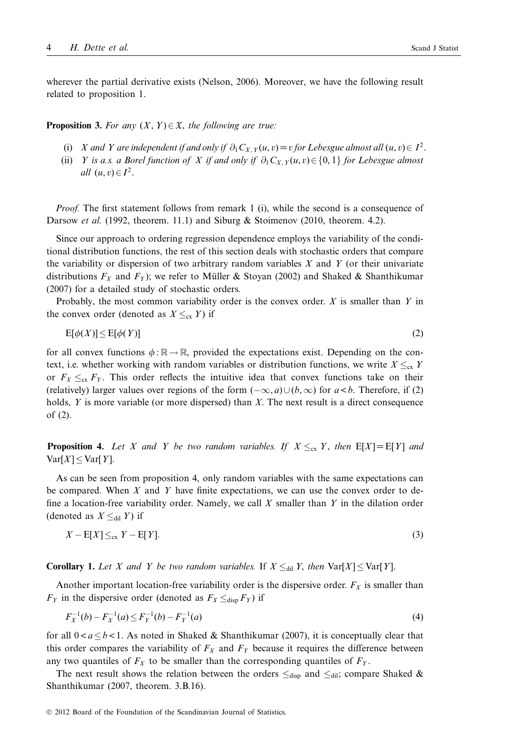wherever the partial derivative exists (Nelson, 2006). Moreover, we have the following result related to proposition 1.

**Proposition 3.** For any  $(X, Y) \in \mathfrak{X}$ , the following are true:

- (i) *X* and *Y* are independent if and only if  $\partial_1 C_{X,Y}(u, v) = v$  for Lebesgue almost all  $(u, v) \in I^2$ .
- (ii) *Y* is a.s. a Borel function of *X* if and only if  $\partial_1 C_{X,Y}(u,v) \in \{0,1\}$  for Lebesgue almost *all*  $(u, v) \in I^2$ .

*Proof.* The first statement follows from remark 1 (i), while the second is a consequence of Darsow *et al.* (1992, theorem. 11.1) and Siburg & Stoimenov (2010, theorem. 4.2).

Since our approach to ordering regression dependence employs the variability of the conditional distribution functions, the rest of this section deals with stochastic orders that compare the variability or dispersion of two arbitrary random variables *X* and *Y* (or their univariate distributions  $F_X$  and  $F_Y$ ); we refer to Müller & Stoyan (2002) and Shaked & Shanthikumar (2007) for a detailed study of stochastic orders.

Probably, the most common variability order is the convex order. *X* is smaller than *Y* in the convex order (denoted as  $X \leq_{\text{cx}} Y$ ) if

$$
E[\phi(X)] \le E[\phi(Y)] \tag{2}
$$

for all convex functions  $\phi : \mathbb{R} \to \mathbb{R}$ , provided the expectations exist. Depending on the context, i.e. whether working with random variables or distribution functions, we write  $X \leq_{\text{cx}} Y$ or  $F_X \leq_{\text{cx}} F_Y$ . This order reflects the intuitive idea that convex functions take on their (relatively) larger values over regions of the form  $(-\infty, a) \cup (b, \infty)$  for  $a < b$ . Therefore, if (2) holds, *Y* is more variable (or more dispersed) than *X*. The next result is a direct consequence of (2).

**Proposition 4.** Let X and Y be two random variables. If  $X \leq_{\text{cx}} Y$ , then  $E[X] = E[Y]$  and  $Var[X] \leq Var[Y]$ .

As can be seen from proposition 4, only random variables with the same expectations can be compared. When *X* and *Y* have finite expectations, we can use the convex order to define a location-free variability order. Namely, we call *X* smaller than *Y* in the dilation order (denoted as  $X \leq_{\text{dil}} Y$ ) if

$$
X - \mathbb{E}[X] \leq_{\text{cx}} Y - \mathbb{E}[Y]. \tag{3}
$$

**Corollary 1.** Let *X* and *Y* be two random variables. If  $X \leq_{\text{dil}} Y$ , then  $\text{Var}[X] \leq \text{Var}[Y]$ .

Another important location-free variability order is the dispersive order.  $F_X$  is smaller than  $F_Y$  in the dispersive order (denoted as  $F_X \leq_{\text{disp}} F_Y$ ) if

$$
F_X^{-1}(b) - F_X^{-1}(a) \le F_Y^{-1}(b) - F_Y^{-1}(a) \tag{4}
$$

for all  $0 \le a \le b \le 1$ . As noted in Shaked & Shanthikumar (2007), it is conceptually clear that this order compares the variability of  $F_X$  and  $F_Y$  because it requires the difference between any two quantiles of  $F_X$  to be smaller than the corresponding quantiles of  $F_Y$ .

The next result shows the relation between the orders  $\leq_{\text{disp}}$  and  $\leq_{\text{dil}}$ ; compare Shaked & Shanthikumar (2007, theorem. 3.B.16).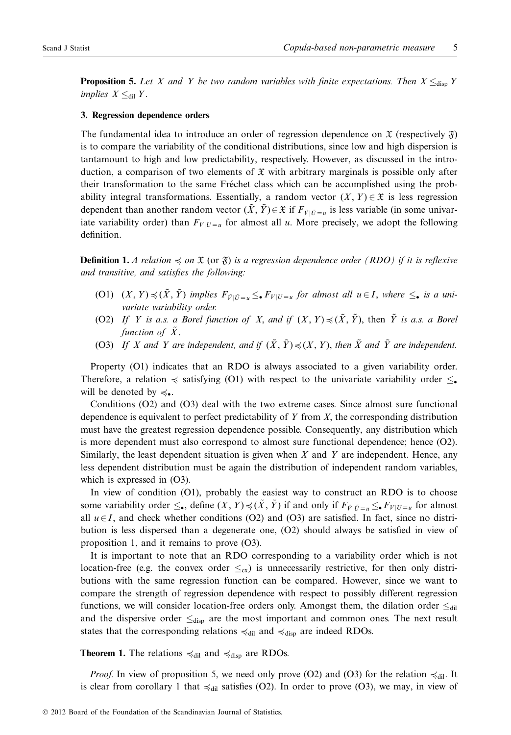**Proposition 5.** Let X and Y be two random variables with finite expectations. Then  $X \leq_{\text{disp}} Y$ *implies*  $X \leq_{\text{dil}} Y$ .

#### **3. Regression dependence orders**

The fundamental idea to introduce an order of regression dependence on  $\mathfrak X$  (respectively  $\mathfrak F$ ) is to compare the variability of the conditional distributions, since low and high dispersion is tantamount to high and low predictability, respectively. However, as discussed in the introduction, a comparison of two elements of  $\mathfrak X$  with arbitrary marginals is possible only after their transformation to the same Fréchet class which can be accomplished using the probability integral transformations. Essentially, a random vector  $(X, Y) \in \mathfrak{X}$  is less regression dependent than another random vector  $(\tilde{X}, \tilde{Y}) \in \mathfrak{X}$  if  $F_{\tilde{Y}|\tilde{U}=u}$  is less variable (in some univariate variability order) than  $F_{V|U=u}$  for almost all *u*. More precisely, we adopt the following definition.

**Definition 1.** *A relation*  $\preccurlyeq$  *on*  $\mathfrak{X}$  (or  $\mathfrak{F}$ ) *is a regression dependence order* (*RDO*) *if it is reflexive and transitive, and satisfies the following:*

- $(01)$   $(X, Y) \preccurlyeq (X, Y)$  *implies*  $F_{\tilde{V}|\tilde{U}=u} \leq_{\bullet} F_{V|U=u}$  *for almost all*  $u \in I$ *, where*  $\leq_{\bullet}$  *is a univariate variability order.*
- (O2) If Y is a.s. a Borel function of X, and if  $(X, Y) \preccurlyeq (X, Y)$ , then Y is a.s. a Borel *function of*  $\tilde{X}$ .
- (O3) If X and Y are independent, and if  $(X, Y) \preccurlyeq (X, Y)$ , then X and Y are independent.

Property (O1) indicates that an RDO is always associated to a given variability order. Therefore, a relation  $\preccurlyeq$  satisfying (O1) with respect to the univariate variability order  $\leq$ . will be denoted by  $\preccurlyeq_{\bullet}$ .

Conditions (O2) and (O3) deal with the two extreme cases. Since almost sure functional dependence is equivalent to perfect predictability of *Y* from *X*, the corresponding distribution must have the greatest regression dependence possible. Consequently, any distribution which is more dependent must also correspond to almost sure functional dependence; hence (O2). Similarly, the least dependent situation is given when *X* and *Y* are independent. Hence, any less dependent distribution must be again the distribution of independent random variables, which is expressed in  $(O3)$ .

In view of condition (O1), probably the easiest way to construct an RDO is to choose some variability order  $\leq_{\bullet}$ , define  $(X, Y) \preccurlyeq (X, Y)$  if and only if  $F_{\tilde{V}|\tilde{U}=u} \leq_{\bullet} F_{V|U=u}$  for almost all  $u \in I$ , and check whether conditions (O2) and (O3) are satisfied. In fact, since no distribution is less dispersed than a degenerate one, (O2) should always be satisfied in view of proposition 1, and it remains to prove (O3).

It is important to note that an RDO corresponding to a variability order which is not location-free (e.g. the convex order  $\leq_{\text{cx}}$ ) is unnecessarily restrictive, for then only distributions with the same regression function can be compared. However, since we want to compare the strength of regression dependence with respect to possibly different regression functions, we will consider location-free orders only. Amongst them, the dilation order  $\leq_{\text{dil}}$ and the dispersive order  $\leq_{\text{disp}}$  are the most important and common ones. The next result states that the corresponding relations  $\preccurlyeq_{\text{dil}}$  and  $\preccurlyeq_{\text{disp}}$  are indeed RDOs.

**Theorem 1.** The relations  $\leq_{\text{dil}}$  and  $\leq_{\text{disp}}$  are RDOs.

*Proof.* In view of proposition 5, we need only prove (O2) and (O3) for the relation  $\preccurlyeq_{\text{dil}}$ . It is clear from corollary 1 that  $\preccurlyeq_{dil}$  satisfies (O2). In order to prove (O3), we may, in view of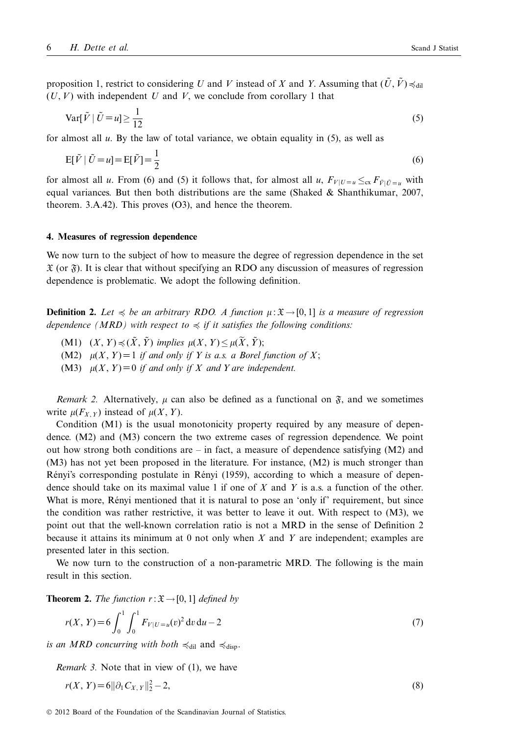proposition 1, restrict to considering *U* and *V* instead of *X* and *Y*. Assuming that  $(U, V) \preccurlyeq_{\text{dil}}$  $(U, V)$  with independent U and V, we conclude from corollary 1 that

$$
\operatorname{Var}[\tilde{V} | \tilde{U} = u] \ge \frac{1}{12} \tag{5}
$$

for almost all *u*. By the law of total variance, we obtain equality in (5), as well as

$$
E[\tilde{V} | \tilde{U} = u] = E[\tilde{V}] = \frac{1}{2}
$$
\n
$$
(6)
$$

for almost all *u*. From (6) and (5) it follows that, for almost all *u*,  $F_{V|U=u} \leq_{\text{cx}} F_{\bar{V}|\bar{U}=u}$  with equal variances. But then both distributions are the same (Shaked  $\&$  Shanthikumar, 2007, theorem. 3.A.42). This proves (O3), and hence the theorem.

#### **4. Measures of regression dependence**

We now turn to the subject of how to measure the degree of regression dependence in the set  $\mathfrak X$  (or  $\mathfrak F$ ). It is clear that without specifying an RDO any discussion of measures of regression dependence is problematic. We adopt the following definition.

**Definition 2.** Let  $\leq$  be an arbitrary RDO. A function  $\mu : \mathfrak{X} \to [0, 1]$  is a measure of regression dependence (MRD) with respect to  $\preccurlyeq$  if it satisfies the following conditions:

- (M1)  $(X, Y) \preccurlyeq (X, Y)$  *implies*  $\mu(X, Y) \leq \mu(X, Y)$ ;
- (M2)  $\mu(X, Y) = 1$  *if and only if Y is a.s. a Borel function of X*;
- (M3)  $\mu(X, Y) = 0$  *if and only if* X and Y are independent.

*Remark 2.* Alternatively,  $\mu$  can also be defined as a functional on  $\tilde{\mathfrak{F}}$ , and we sometimes write  $\mu(F_{X,Y})$  instead of  $\mu(X, Y)$ .

Condition (M1) is the usual monotonicity property required by any measure of dependence. (M2) and (M3) concern the two extreme cases of regression dependence. We point out how strong both conditions are – in fact, a measure of dependence satisfying  $(M2)$  and (M3) has not yet been proposed in the literature. For instance, (M2) is much stronger than Rényi's corresponding postulate in Rényi (1959), according to which a measure of dependence should take on its maximal value 1 if one of *X* and *Y* is a.s. a function of the other. What is more, Rényi mentioned that it is natural to pose an 'only if' requirement, but since the condition was rather restrictive, it was better to leave it out. With respect to (M3), we point out that the well-known correlation ratio is not a MRD in the sense of Definition 2 because it attains its minimum at 0 not only when *X* and *Y* are independent; examples are presented later in this section.

We now turn to the construction of a non-parametric MRD. The following is the main result in this section.

**Theorem 2.** *The function*  $r: \mathfrak{X} \rightarrow [0, 1]$  *defined by* 

$$
r(X, Y) = 6 \int_0^1 \int_0^1 F_{V|U=u}(v)^2 dv du - 2
$$
 (7)

*is an MRD concurring with both*  $\preccurlyeq_{\text{dil}}$  and  $\preccurlyeq_{\text{disp}}$ .

*Remark 3.* Note that in view of (1), we have

$$
r(X, Y) = 6||\partial_1 C_{X, Y}||_2^2 - 2,
$$
\n(8)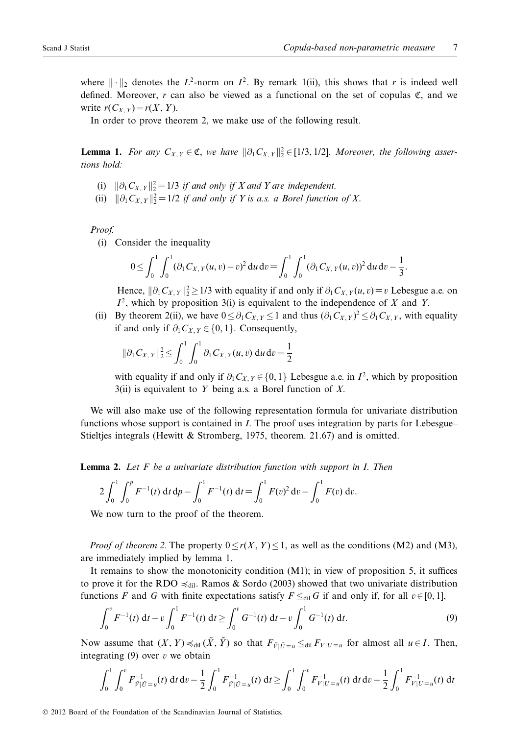where  $\|\cdot\|_2$  denotes the  $L^2$ -norm on  $I^2$ . By remark 1(ii), this shows that *r* is indeed well defined. Moreover,  $r$  can also be viewed as a functional on the set of copulas  $\mathfrak{C}$ , and we write  $r(C_Y, y) = r(X, Y)$ .

In order to prove theorem 2, we make use of the following result.

**Lemma 1.** *For any*  $C_{X,Y} \in \mathfrak{C}$ , *we have*  $\|\partial_1 C_{X,Y}\|_2^2 \in [1/3, 1/2]$ . *Moreover, the following assertions hold: tions hold:*

- (i)  $\|\partial_1 C_{X,Y}\|_2^2 = 1/3$  *if and only if X and Y are independent.*<br>  $\|\partial_1 C_{X,Y}\|_2^2 = 1/2$  *if and only if Y is a s. a Porel function*
- (ii)  $\|\partial_1 C_{X,Y}\|_2^2 = 1/2$  *if and only if Y is a.s. a Borel function of X.*

*Proof.*

(i) Consider the inequality

$$
0 \leq \int_0^1 \int_0^1 (\partial_1 C_{X,Y}(u,v) - v)^2 \, du \, dv = \int_0^1 \int_0^1 (\partial_1 C_{X,Y}(u,v))^2 \, du \, dv - \frac{1}{3}.
$$

Hence,  $\|\partial_1 C_{X,Y}\|_2^2 \ge 1/3$  with equality if and only if  $\partial_1 C_{X,Y}(u, v) = v$  Lebesgue a.e. on  $L^2$  which by proposition 3(i) is equivalent to the independence of *Y* and *Y*  $I^2$ , which by proposition 3(i) is equivalent to the independence of *X* and *Y*.

(ii) By theorem 2(ii), we have  $0 \le \partial_1 C_{X,Y} \le 1$  and thus  $(\partial_1 C_{X,Y})^2 \le \partial_1 C_{X,Y}$ , with equality if and only if a  $C = (0, 1)$ . Consequently if and only if  $\partial_1 C_{X,Y} \in \{0,1\}$ . Consequently,

$$
\|\partial_1 C_{X,Y}\|_2^2 \le \int_0^1 \int_0^1 \partial_1 C_{X,Y}(u,v) \, \mathrm{d}u \, \mathrm{d}v = \frac{1}{2}
$$

with equality if and only if  $\partial_1 C_{X, Y} \in \{0, 1\}$  Lebesgue a.e. in  $I^2$ , which by proposition 3(ii) is equivalent to *Y* being a.s. a Borel function of *X*.

We will also make use of the following representation formula for univariate distribution functions whose support is contained in *I*. The proof uses integration by parts for Lebesgue– Stieltjes integrals (Hewitt & Stromberg, 1975, theorem. 21.67) and is omitted.

**Lemma 2.** *Let F be a univariate distribution function with support in I*. *Then*

$$
2\int_0^1 \int_0^p F^{-1}(t) dt d\rho - \int_0^1 F^{-1}(t) dt = \int_0^1 F(v)^2 dv - \int_0^1 F(v) dv.
$$

We now turn to the proof of the theorem.

*Proof of theorem 2.* The property  $0 \le r(X, Y) \le 1$ , as well as the conditions (M2) and (M3), are immediately implied by lemma 1.

It remains to show the monotonicity condition (M1); in view of proposition 5, it suffices to prove it for the RDO  $\preccurlyeq_{\text{dil}}$ . Ramos & Sordo (2003) showed that two univariate distribution functions *F* and *G* with finite expectations satisfy  $F \leq_{di} G$  if and only if, for all  $v \in [0, 1]$ ,

$$
\int_0^v F^{-1}(t) dt - v \int_0^1 F^{-1}(t) dt \ge \int_0^v G^{-1}(t) dt - v \int_0^1 G^{-1}(t) dt.
$$
 (9)

Now assume that  $(X, Y) \preccurlyeq_{\text{dil}} (X, Y)$  so that  $F_{\tilde{V}|\tilde{U}=u} \leq_{\text{dil}} F_{V|U=u}$  for almost all  $u \in I$ . Then, integrating (9) over *v* we obtain

$$
\int_0^1 \int_0^v F_{\tilde{V}|\tilde{U}=u}^{-1}(t) dt dv - \frac{1}{2} \int_0^1 F_{\tilde{V}|\tilde{U}=u}^{-1}(t) dt \ge \int_0^1 \int_0^v F_{V|U=u}^{-1}(t) dt dv - \frac{1}{2} \int_0^1 F_{V|U=u}^{-1}(t) dt
$$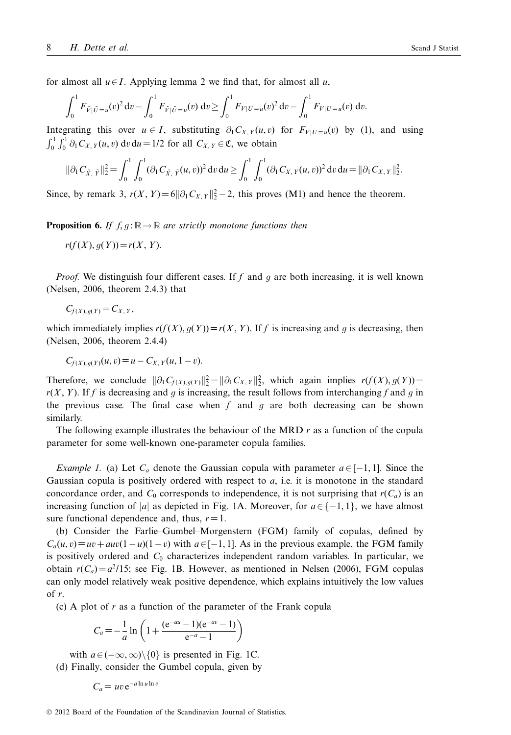for almost all  $u \in I$ . Applying lemma 2 we find that, for almost all  $u$ ,

$$
\int_0^1 F_{\tilde{V}|\tilde{U}=u}(v)^2 dv - \int_0^1 F_{\tilde{V}|\tilde{U}=u}(v) dv \ge \int_0^1 F_{V|U=u}(v)^2 dv - \int_0^1 F_{V|U=u}(v) dv.
$$

Integrating this over  $u \in I$ , substituting  $\partial_1 C_{X,Y}(u, v)$  for  $F_{Y|U=u}(v)$  by (1), and using  $\int_0^1 \int_0^1 \partial_1 C_{X,Y}(u, v) dv du = 1/2$  for all  $C_{X,Y} \in \mathfrak{C}$ , we obtain

$$
\|\partial_1 C_{\tilde{X}, \tilde{Y}}\|_2^2 = \int_0^1 \int_0^1 (\partial_1 C_{\tilde{X}, \tilde{Y}}(u, v))^2 dv du \ge \int_0^1 \int_0^1 (\partial_1 C_{X, Y}(u, v))^2 dv du = \|\partial_1 C_{X, Y}\|_2^2.
$$

Since, by remark 3,  $r(X, Y) = 6||\partial_1 C_{X,Y}||_2^2 - 2$ , this proves (M1) and hence the theorem.

**Proposition 6.** *If f, g* :  $\mathbb{R} \to \mathbb{R}$  *are strictly monotone functions then* 

$$
r(f(X), g(Y)) = r(X, Y).
$$

*Proof.* We distinguish four different cases. If f and q are both increasing, it is well known (Nelsen, 2006, theorem 2.4.3) that

$$
C_{f(X),g(Y)}=C_{X,Y},
$$

which immediately implies  $r(f(X), g(Y)) = r(X, Y)$ . If f is increasing and g is decreasing, then (Nelsen, 2006, theorem 2.4.4)

 $C_f$ (*X*), $g(Y)$ (*u*, *v*)= $u - C_{X,Y}(u, 1-v)$ .

Therefore, we conclude  $\|\partial_1 C_{f(X),g(Y)}\|_2^2 = \|\partial_1 C_{X,Y}\|_2^2$ , which again implies  $r(f(X), g(Y)) =$ <br> $r(Y, Y)$  If f is decreasing and a is increasing the result follows from interchanging f and a in  $r(X, Y)$ . If *f* is decreasing and *q* is increasing, the result follows from interchanging *f* and *q* in the previous case. The final case when  $f$  and  $g$  are both decreasing can be shown similarly.

The following example illustrates the behaviour of the MRD *r* as a function of the copula parameter for some well-known one-parameter copula families.

*Example 1.* (a) Let  $C_a$  denote the Gaussian copula with parameter  $a \in [-1, 1]$ . Since the Gaussian copula is positively ordered with respect to *a*, i.e. it is monotone in the standard concordance order, and  $C_0$  corresponds to independence, it is not surprising that  $r(C_a)$  is an increasing function of |*a*| as depicted in Fig. 1A. Moreover, for  $a \in \{-1, 1\}$ , we have almost sure functional dependence and, thus,  $r = 1$ .

(b) Consider the Farlie–Gumbel–Morgenstern (FGM) family of copulas, defined by  $C_a(u, v) = uv + auv(1 - u)(1 - v)$  with  $a \in [-1, 1]$ . As in the previous example, the FGM family is positively ordered and *C*<sup>0</sup> characterizes independent random variables. In particular, we obtain  $r(C_a) = a^2/15$ ; see Fig. 1B. However, as mentioned in Nelsen (2006), FGM copulas can only model relatively weak positive dependence, which explains intuitively the low values of *r*.

(c) A plot of *r* as a function of the parameter of the Frank copula

$$
C_a = -\frac{1}{a} \ln \left( 1 + \frac{(e^{-au} - 1)(e^{-av} - 1)}{e^{-a} - 1} \right)
$$

with  $a \in (-\infty, \infty) \setminus \{0\}$  is presented in Fig. 1C. (d) Finally, consider the Gumbel copula, given by

$$
C_a = uv e^{-a \ln u \ln v}
$$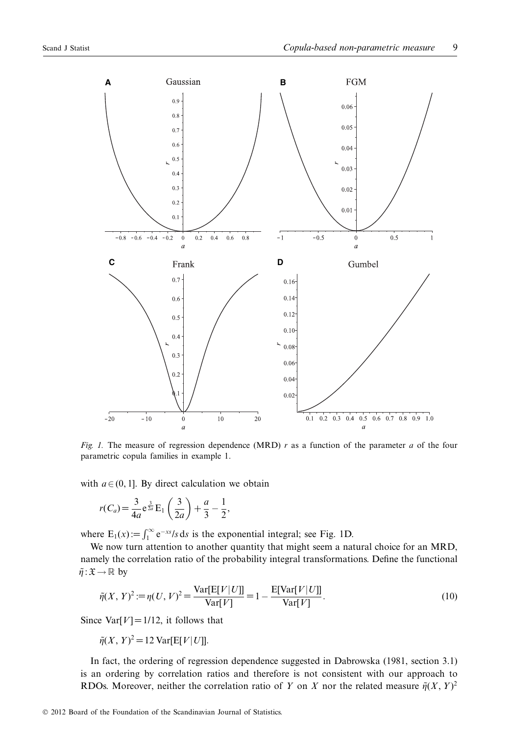

*Fig. 1.* The measure of regression dependence (MRD) *r* as a function of the parameter *a* of the four parametric copula families in example 1.

with  $a \in (0, 1]$ . By direct calculation we obtain

$$
r(C_a) = \frac{3}{4a} e^{\frac{3}{2a}} E_1\left(\frac{3}{2a}\right) + \frac{a}{3} - \frac{1}{2},
$$

where  $E_1(x) := \int_1^{\infty} e^{-xs}/s \, ds$  is the exponential integral; see Fig. 1D.

We now turn attention to another quantity that might seem a natural choice for an MRD, namely the correlation ratio of the probability integral transformations. Define the functional  $\tilde{\eta}: \mathfrak{X} \to \mathbb{R}$  by

$$
\tilde{\eta}(X, Y)^2 := \eta(U, V)^2 = \frac{\text{Var}[E[V|U]]}{\text{Var}[V]} = 1 - \frac{E[\text{Var}[V|U]]}{\text{Var}[V]}.
$$
\n(10)

Since Var $[V] = 1/12$ , it follows that

$$
\tilde{\eta}(X, Y)^2 = 12 \operatorname{Var}[\mathbb{E}[V|U]].
$$

In fact, the ordering of regression dependence suggested in Dabrowska (1981, section 3.1) is an ordering by correlation ratios and therefore is not consistent with our approach to RDOs. Moreover, neither the correlation ratio of *Y* on *X* nor the related measure  $\tilde{\eta}(X, Y)^2$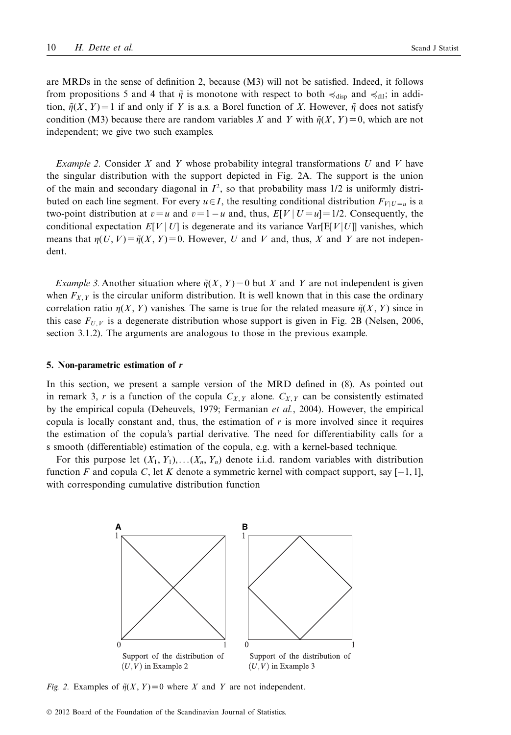are MRDs in the sense of definition 2, because (M3) will not be satisfied. Indeed, it follows from propositions 5 and 4 that  $\tilde{\eta}$  is monotone with respect to both  $\preccurlyeq_{\text{disp}}$  and  $\preccurlyeq_{\text{dil}}$ ; in addition,  $\tilde{\eta}(X, Y) = 1$  if and only if *Y* is a.s. a Borel function of *X*. However,  $\tilde{\eta}$  does not satisfy condition (M3) because there are random variables *X* and *Y* with  $\tilde{\eta}(X, Y) = 0$ , which are not independent; we give two such examples.

*Example 2.* Consider *X* and *Y* whose probability integral transformations *U* and *V* have the singular distribution with the support depicted in Fig. 2A. The support is the union of the main and secondary diagonal in  $I^2$ , so that probability mass  $1/2$  is uniformly distributed on each line segment. For every  $u \in I$ , the resulting conditional distribution  $F_{V|U=u}$  is a two-point distribution at  $v = u$  and  $v = 1 - u$  and, thus,  $E[V | U = u] = 1/2$ . Consequently, the conditional expectation  $E[V | U]$  is degenerate and its variance Var $[E[V | U]]$  vanishes, which means that  $\eta(U, V) = \tilde{\eta}(X, Y) = 0$ . However, *U* and *V* and, thus, *X* and *Y* are not independent.

*Example 3.* Another situation where  $\tilde{\eta}(X, Y) = 0$  but *X* and *Y* are not independent is given when  $F_{X,Y}$  is the circular uniform distribution. It is well known that in this case the ordinary correlation ratio  $\eta(X, Y)$  vanishes. The same is true for the related measure  $\tilde{\eta}(X, Y)$  since in this case  $F_{U,V}$  is a degenerate distribution whose support is given in Fig. 2B (Nelsen, 2006, section 3.1.2). The arguments are analogous to those in the previous example.

#### **5. Non-parametric estimation of** *r*

In this section, we present a sample version of the MRD defined in (8). As pointed out in remark 3, *r* is a function of the copula  $C_{X,Y}$  alone.  $C_{X,Y}$  can be consistently estimated by the empirical copula (Deheuvels, 1979; Fermanian *et al.*, 2004). However, the empirical copula is locally constant and, thus, the estimation of *r* is more involved since it requires the estimation of the copula's partial derivative. The need for differentiability calls for a s smooth (differentiable) estimation of the copula, e.g. with a kernel-based technique.

For this purpose let  $(X_1, Y_1), \ldots, (X_n, Y_n)$  denote i.i.d. random variables with distribution function *F* and copula *C*, let *K* denote a symmetric kernel with compact support, say  $[-1, 1]$ , with corresponding cumulative distribution function



*Fig. 2.* Examples of  $\tilde{\eta}(X, Y) = 0$  where *X* and *Y* are not independent.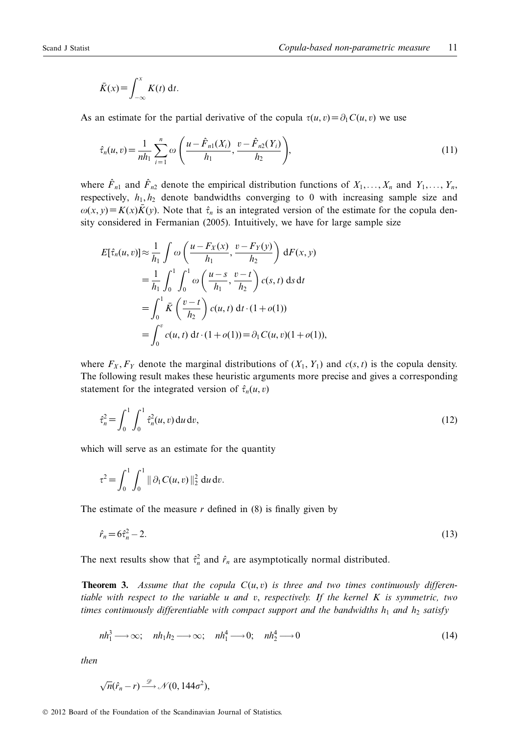$$
\bar{K}(x) = \int_{-\infty}^{x} K(t) \, \mathrm{d}t.
$$

As an estimate for the partial derivative of the copula  $\tau(u, v) = \partial_1 C(u, v)$  we use

$$
\hat{\tau}_n(u,v) = \frac{1}{nh_1} \sum_{i=1}^n \omega\left(\frac{u - \hat{F}_{n1}(X_i)}{h_1}, \frac{v - \hat{F}_{n2}(Y_i)}{h_2}\right),\tag{11}
$$

where  $\hat{F}_{n1}$  and  $\hat{F}_{n2}$  denote the empirical distribution functions of  $X_1, \ldots, X_n$  and  $Y_1, \ldots, Y_n$ , respectively,  $h_1, h_2$  denote bandwidths converging to 0 with increasing sample size and  $\omega(x, y) = K(x)\overline{K}(y)$ . Note that  $\hat{\tau}_n$  is an integrated version of the estimate for the copula density considered in Fermanian (2005). Intuitively, we have for large sample size

$$
E[\hat{\tau}_n(u,v)] \approx \frac{1}{h_1} \int \omega \left( \frac{u - F_X(x)}{h_1}, \frac{v - F_Y(y)}{h_2} \right) dF(x, y)
$$
  
=  $\frac{1}{h_1} \int_0^1 \int_0^1 \omega \left( \frac{u - s}{h_1}, \frac{v - t}{h_2} \right) c(s, t) ds dt$   
=  $\int_0^1 \bar{K} \left( \frac{v - t}{h_2} \right) c(u, t) dt \cdot (1 + o(1))$   
=  $\int_0^v c(u, t) dt \cdot (1 + o(1)) = \partial_1 C(u, v) (1 + o(1)),$ 

where  $F_X$ ,  $F_Y$  denote the marginal distributions of  $(X_1, Y_1)$  and  $c(s, t)$  is the copula density. The following result makes these heuristic arguments more precise and gives a corresponding statement for the integrated version of  $\hat{\tau}_n(u, v)$ 

$$
\hat{\tau}_n^2 = \int_0^1 \int_0^1 \hat{\tau}_n^2(u, v) \, \mathrm{d}u \, \mathrm{d}v,\tag{12}
$$

which will serve as an estimate for the quantity

$$
\tau^2 = \int_0^1 \int_0^1 || \partial_1 C(u, v) ||_2^2 \, \mathrm{d}u \, \mathrm{d}v.
$$

The estimate of the measure  $r$  defined in  $(8)$  is finally given by

$$
\hat{r}_n = 6\hat{\tau}_n^2 - 2.\tag{13}
$$

The next results show that  $\hat{\tau}_n^2$  and  $\hat{r}_n$  are asymptotically normal distributed.

**Theorem 3.** *Assume that the copula*  $C(u, v)$  *is three and two times continuously differentiable with respect to the variable u and v*, *respectively. If the kernel K is symmetric, two times continuously differentiable with compact support and the bandwidths*  $h_1$  *and*  $h_2$  *satisfy* 

$$
nh_1^3 \longrightarrow \infty; \quad nh_1h_2 \longrightarrow \infty; \quad nh_1^4 \longrightarrow 0; \quad nh_2^4 \longrightarrow 0
$$
\n
$$
(14)
$$

*then*

$$
\sqrt{n}(\hat{r}_n-r) \stackrel{\mathscr{D}}{\longrightarrow} \mathcal{N}(0, 144\sigma^2),
$$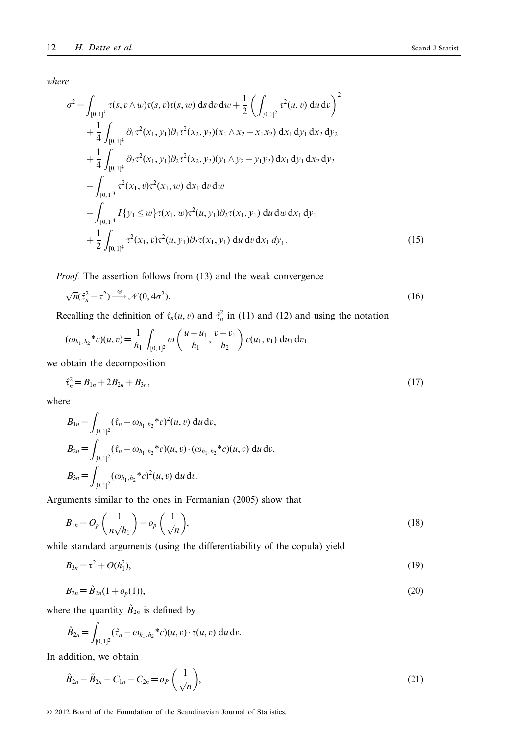*where*

$$
\sigma^{2} = \int_{[0,1]^{3}} \tau(s, v \wedge w) \tau(s, v) \tau(s, w) \, ds \, dv \, dw + \frac{1}{2} \left( \int_{[0,1]^{2}} \tau^{2}(u, v) \, du \, dv \right)^{2} \n+ \frac{1}{4} \int_{[0,1]^{4}} \partial_{1} \tau^{2}(x_{1}, y_{1}) \partial_{1} \tau^{2}(x_{2}, y_{2}) (x_{1} \wedge x_{2} - x_{1}x_{2}) \, dx_{1} \, dy_{1} \, dx_{2} \, dy_{2} \n+ \frac{1}{4} \int_{[0,1]^{4}} \partial_{2} \tau^{2}(x_{1}, y_{1}) \partial_{2} \tau^{2}(x_{2}, y_{2}) (y_{1} \wedge y_{2} - y_{1}y_{2}) \, dx_{1} \, dy_{1} \, dx_{2} \, dy_{2} \n- \int_{[0,1]^{3}} \tau^{2}(x_{1}, v) \tau^{2}(x_{1}, w) \, dx_{1} \, dv \, dw \n- \int_{[0,1]^{4}} I\{y_{1} \leq w\} \tau(x_{1}, w) \tau^{2}(u, y_{1}) \partial_{2} \tau(x_{1}, y_{1}) \, du \, dw \, dx_{1} \, dy_{1} \n+ \frac{1}{2} \int_{[0,1]^{4}} \tau^{2}(x_{1}, v) \tau^{2}(u, y_{1}) \partial_{2} \tau(x_{1}, y_{1}) \, du \, dv \, dx_{1} \, dy_{1}.
$$
\n(15)

*Proof.* The assertion follows from (13) and the weak convergence

$$
\sqrt{n}(\hat{\tau}_n^2 - \tau^2) \xrightarrow{\mathscr{D}} \mathscr{N}(0, 4\sigma^2). \tag{16}
$$

Recalling the definition of  $\hat{\tau}_n(u, v)$  and  $\hat{\tau}_n^2$  in (11) and (12) and using the notation

$$
(\omega_{h_1,h_2} * c)(u,v) = \frac{1}{h_1} \int_{[0,1]^2} \omega\left(\frac{u-u_1}{h_1}, \frac{v-v_1}{h_2}\right) c(u_1,v_1) du_1 dv_1
$$

we obtain the decomposition

$$
\hat{\tau}_n^2 = B_{1n} + 2B_{2n} + B_{3n},\tag{17}
$$

where

$$
B_{1n} = \int_{[0,1]^2} (\hat{\tau}_n - \omega_{h_1,h_2} * c)^2(u,v) \, du \, dv,
$$
  
\n
$$
B_{2n} = \int_{[0,1]^2} (\hat{\tau}_n - \omega_{h_1,h_2} * c)(u,v) \cdot (\omega_{h_1,h_2} * c)(u,v) \, du \, dv,
$$
  
\n
$$
B_{3n} = \int_{[0,1]^2} (\omega_{h_1,h_2} * c)^2(u,v) \, du \, dv.
$$

Arguments similar to the ones in Fermanian (2005) show that

$$
B_{1n} = O_p\left(\frac{1}{n\sqrt{h_1}}\right) = o_p\left(\frac{1}{\sqrt{n}}\right),\tag{18}
$$

while standard arguments (using the differentiability of the copula) yield

$$
B_{3n} = \tau^2 + O(h_1^2),\tag{19}
$$

$$
B_{2n} = \hat{B}_{2n}(1 + o_p(1)),
$$
\n(20)

where the quantity  $\hat{B}_{2n}$  is defined by

$$
\hat{B}_{2n} = \int_{[0,1]^2} (\hat{\tau}_n - \omega_{h_1,h_2} * c)(u,v) \cdot \tau(u,v) \, \mathrm{d}u \, \mathrm{d}v.
$$

In addition, we obtain

$$
\hat{B}_{2n} - \tilde{B}_{2n} - C_{1n} - C_{2n} = o_P\left(\frac{1}{\sqrt{n}}\right),\tag{21}
$$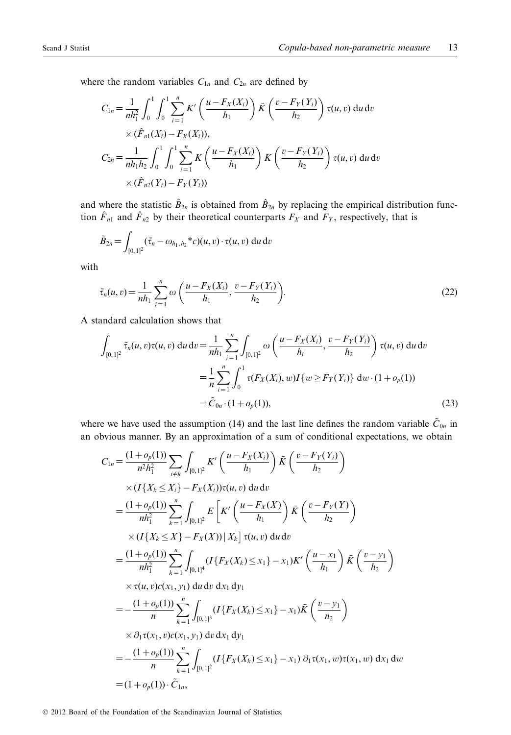where the random variables  $C_{1n}$  and  $C_{2n}$  are defined by

$$
C_{1n} = \frac{1}{nh_1^2} \int_0^1 \int_0^1 \sum_{i=1}^n K' \left( \frac{u - F_X(X_i)}{h_1} \right) \bar{K} \left( \frac{v - F_Y(Y_i)}{h_2} \right) \tau(u, v) du dv
$$
  
×  $(\hat{F}_{n1}(X_i) - F_X(X_i)),$   

$$
C_{2n} = \frac{1}{nh_1h_2} \int_0^1 \int_0^1 \sum_{i=1}^n K \left( \frac{u - F_X(X_i)}{h_1} \right) K \left( \frac{v - F_Y(Y_i)}{h_2} \right) \tau(u, v) du dv
$$
  
×  $(\hat{F}_{n2}(Y_i) - F_Y(Y_i))$ 

and where the statistic  $\tilde{B}_{2n}$  is obtained from  $\hat{B}_{2n}$  by replacing the empirical distribution function  $\hat{F}_{n1}$  and  $\hat{F}_{n2}$  by their theoretical counterparts  $F_X$  and  $F_Y$ , respectively, that is

$$
\tilde{B}_{2n} = \int_{[0,1]^2} (\tilde{\tau}_n - \omega_{h_1,h_2} * c)(u,v) \cdot \tau(u,v) \, \mathrm{d}u \, \mathrm{d}v
$$

with

$$
\tilde{\tau}_n(u,v) = \frac{1}{nh_1} \sum_{i=1}^n \omega\left(\frac{u - F_X(X_i)}{h_1}, \frac{v - F_Y(Y_i)}{h_2}\right).
$$
\n(22)

A standard calculation shows that

$$
\int_{[0,1]^2} \tilde{\tau}_n(u,v)\tau(u,v) \, \mathrm{d}u \, \mathrm{d}v = \frac{1}{nh_1} \sum_{i=1}^n \int_{[0,1]^2} \omega\left(\frac{u - F_X(X_i)}{h_i}, \frac{v - F_Y(Y_i)}{h_2}\right) \tau(u,v) \, \mathrm{d}u \, \mathrm{d}v
$$
\n
$$
= \frac{1}{n} \sum_{i=1}^n \int_0^1 \tau(F_X(X_i), w) I\{w \ge F_Y(Y_i)\} \, \mathrm{d}w \cdot (1 + o_p(1))
$$
\n
$$
= \tilde{C}_{0n} \cdot (1 + o_p(1)), \tag{23}
$$

where we have used the assumption (14) and the last line defines the random variable  $\tilde{C}_{0n}$  in an obvious manner. By an approximation of a sum of conditional expectations, we obtain

$$
C_{1n} = \frac{(1+o_p(1))}{n^2h_1^2} \sum_{i \neq k} \int_{[0,1]^2} K' \left( \frac{u - F_X(X_i)}{h_1} \right) \tilde{K} \left( \frac{v - F_Y(Y_i)}{h_2} \right)
$$
  
\n
$$
\times (I\{X_k \le X_i\} - F_X(X_i))\tau(u, v) du dv
$$
  
\n
$$
= \frac{(1+o_p(1))}{nh_1^2} \sum_{k=1}^n \int_{[0,1]^2} E \left[ K' \left( \frac{u - F_X(X)}{h_1} \right) \tilde{K} \left( \frac{v - F_Y(Y)}{h_2} \right) \right]
$$
  
\n
$$
\times (I\{X_k \le X\} - F_X(X)) | X_k ] \tau(u, v) du dv
$$
  
\n
$$
= \frac{(1+o_p(1))}{nh_1^2} \sum_{k=1}^n \int_{[0,1]^4} (I\{F_X(X_k) \le x_1\} - x_1) K' \left( \frac{u - x_1}{h_1} \right) \tilde{K} \left( \frac{v - y_1}{h_2} \right)
$$
  
\n
$$
\times \tau(u, v)c(x_1, y_1) du dv dx_1 dy_1
$$
  
\n
$$
= -\frac{(1+o_p(1))}{n} \sum_{k=1}^n \int_{[0,1]^3} (I\{F_X(X_k) \le x_1\} - x_1) \tilde{K} \left( \frac{v - y_1}{n_2} \right)
$$
  
\n
$$
\times \partial_1 \tau(x_1, v)c(x_1, y_1) dv dx_1 dy_1
$$
  
\n
$$
= -\frac{(1+o_p(1))}{n} \sum_{k=1}^n \int_{[0,1]^2} (I\{F_X(X_k) \le x_1\} - x_1) \partial_1 \tau(x_1, w) \tau(x_1, w) dx_1 dw
$$
  
\n
$$
= (1+o_p(1)) \cdot \tilde{C}_{1n},
$$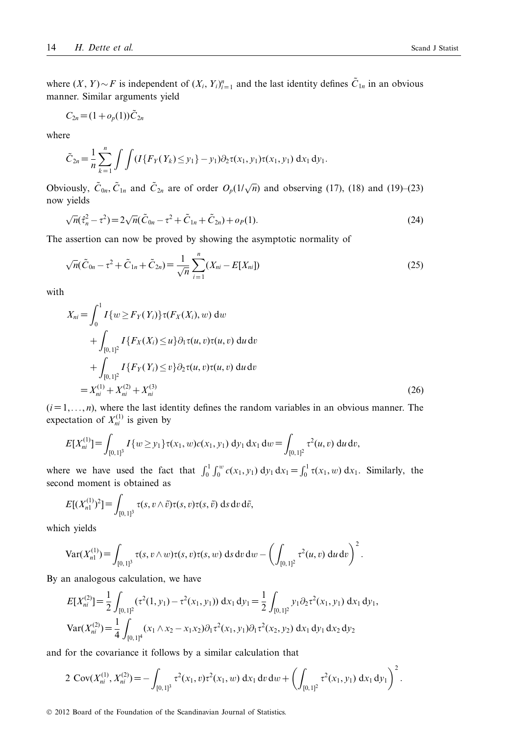where  $(X, Y) \sim F$  is independent of  $(X_i, Y_i)_{i=1}^n$  and the last identity defines  $C_{1n}$  in an obvious manner. Similar arguments yield

$$
C_{2n} = (1 + o_p(1))C_{2n}
$$

where

$$
\tilde{C}_{2n} = \frac{1}{n} \sum_{k=1}^{n} \int \int (I\{F_Y(Y_k) \leq y_1\} - y_1) \partial_2 \tau(x_1, y_1) \tau(x_1, y_1) dx_1 dy_1.
$$

Obviously,  $\tilde{C}_{0n}$ ,  $\tilde{C}_{1n}$  and  $\tilde{C}_{2n}$  are of order  $O_p(1/\sqrt{n})$  and observing (17), (18) and (19)–(23) now yields

$$
\sqrt{n}(\tilde{\tau}_n^2 - \tau^2) = 2\sqrt{n}(\tilde{C}_{0n} - \tau^2 + \tilde{C}_{1n} + \tilde{C}_{2n}) + o_P(1).
$$
 (24)

The assertion can now be proved by showing the asymptotic normality of

$$
\sqrt{n}(\tilde{C}_{0n} - \tau^2 + \tilde{C}_{1n} + \tilde{C}_{2n}) = \frac{1}{\sqrt{n}} \sum_{i=1}^{n} (X_{ni} - E[X_{ni}])
$$
\n(25)

with

$$
X_{ni} = \int_0^1 I\{w \ge F_Y(Y_i)\} \tau(F_X(X_i), w) \, dw
$$
  
+ 
$$
\int_{[0,1]^2} I\{F_X(X_i) \le u\} \partial_1 \tau(u, v) \tau(u, v) \, du \, dv
$$
  
+ 
$$
\int_{[0,1]^2} I\{F_Y(Y_i) \le v\} \partial_2 \tau(u, v) \tau(u, v) \, du \, dv
$$
  
= 
$$
X_{ni}^{(1)} + X_{ni}^{(2)} + X_{ni}^{(3)}
$$
 (26)

 $(i=1,\ldots,n)$ , where the last identity defines the random variables in an obvious manner. The expectation of  $X_{ni}^{(1)}$  is given by

$$
E[X_{ni}^{(1)}] = \int_{[0,1]^3} I\{w \geq y_1\} \tau(x_1, w) c(x_1, y_1) \, dy_1 \, dx_1 \, dw = \int_{[0,1]^2} \tau^2(u, v) \, du \, dv,
$$

where we have used the fact that  $\int_0^1 \int_0^w c(x_1, y_1) dy_1 dx_1 = \int_0^1 \tau(x_1, w) dx_1$ . Similarly, the second moment is obtained as

$$
E[(X_{n1}^{(1)})^2] = \int_{[0,1]^3} \tau(s, v \wedge \tilde{v}) \tau(s, v) \tau(s, \tilde{v}) \, ds \, dv \, d\tilde{v},
$$

which yields

$$
\text{Var}(X_{n1}^{(1)}) = \int_{[0,1]^3} \tau(s,v \wedge w) \tau(s,v) \tau(s,w) \, ds \, dv \, dw - \left( \int_{[0,1]^2} \tau^2(u,v) \, du \, dv \right)^2.
$$

By an analogous calculation, we have

$$
E[X_{ni}^{(2)}] = \frac{1}{2} \int_{[0,1]^2} (\tau^2(1, y_1) - \tau^2(x_1, y_1)) dx_1 dy_1 = \frac{1}{2} \int_{[0,1]^2} y_1 \partial_2 \tau^2(x_1, y_1) dx_1 dy_1,
$$
  
\n
$$
Var(X_{ni}^{(2)}) = \frac{1}{4} \int_{[0,1]^4} (x_1 \wedge x_2 - x_1 x_2) \partial_1 \tau^2(x_1, y_1) \partial_1 \tau^2(x_2, y_2) dx_1 dy_1 dx_2 dy_2
$$

and for the covariance it follows by a similar calculation that

$$
2 \operatorname{Cov}(X_{ni}^{(1)}, X_{ni}^{(2)}) = - \int_{[0,1]^3} \tau^2(x_1, v) \tau^2(x_1, w) \, dx_1 \, dv \, dw + \left( \int_{[0,1]^2} \tau^2(x_1, y_1) \, dx_1 \, dy_1 \right)^2.
$$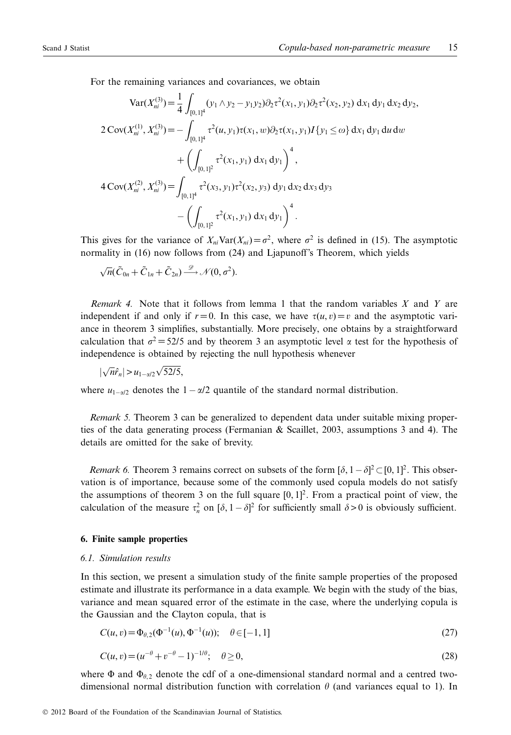For the remaining variances and covariances, we obtain

$$
\operatorname{Var}(X_{ni}^{(3)}) = \frac{1}{4} \int_{[0,1]^4} (y_1 \wedge y_2 - y_1 y_2) \partial_2 \tau^2(x_1, y_1) \partial_2 \tau^2(x_2, y_2) dx_1 dy_1 dx_2 dy_2,
$$
  
\n
$$
2 \operatorname{Cov}(X_{ni}^{(1)}, X_{ni}^{(3)}) = - \int_{[0,1]^4} \tau^2(u, y_1) \tau(x_1, w) \partial_2 \tau(x_1, y_1) I\{y_1 \le \omega\} dx_1 dy_1 du dw
$$
  
\n
$$
+ \left( \int_{[0,1]^2} \tau^2(x_1, y_1) dx_1 dy_1 \right)^4,
$$
  
\n
$$
4 \operatorname{Cov}(X_{ni}^{(2)}, X_{ni}^{(3)}) = \int_{[0,1]^4} \tau^2(x_3, y_1) \tau^2(x_2, y_3) dy_1 dx_2 dx_3 dy_3
$$
  
\n
$$
- \left( \int_{[0,1]^2} \tau^2(x_1, y_1) dx_1 dy_1 \right)^4.
$$

This gives for the variance of  $X_{ni}Var(X_{ni})=\sigma^2$ , where  $\sigma^2$  is defined in (15). The asymptotic normality in (16) now follows from (24) and Ljapunoff's Theorem, which yields

 $\sqrt{n}(\tilde{C}_{0n} + \tilde{C}_{1n} + \tilde{C}_{2n}) \longrightarrow \mathcal{N}(0, \sigma^2).$ 

*Remark 4.* Note that it follows from lemma 1 that the random variables *X* and *Y* are independent if and only if  $r = 0$ . In this case, we have  $\tau(u, v) = v$  and the asymptotic variance in theorem 3 simplifies, substantially. More precisely, one obtains by a straightforward calculation that  $\sigma^2 = 52/5$  and by theorem 3 an asymptotic level  $\alpha$  test for the hypothesis of independence is obtained by rejecting the null hypothesis whenever

$$
|\sqrt{n}\hat{r}_n| > u_{1-\alpha/2}\sqrt{52/5},
$$

where  $u_{1-\alpha/2}$  denotes the  $1-\alpha/2$  quantile of the standard normal distribution.

*Remark 5.* Theorem 3 can be generalized to dependent data under suitable mixing properties of the data generating process (Fermanian & Scaillet, 2003, assumptions 3 and 4). The details are omitted for the sake of brevity.

*Remark 6.* Theorem 3 remains correct on subsets of the form  $[\delta, 1 - \delta]^2 \subset [0, 1]^2$ . This observation is of importance, because some of the commonly used copula models do not satisfy the assumptions of theorem 3 on the full square  $[0, 1]^2$ . From a practical point of view, the calculation of the measure  $\tau_n^2$  on  $[\delta, 1 - \delta]^2$  for sufficiently small  $\delta > 0$  is obviously sufficient.

# **6. Finite sample properties**

#### *6.1. Simulation results*

In this section, we present a simulation study of the finite sample properties of the proposed estimate and illustrate its performance in a data example. We begin with the study of the bias, variance and mean squared error of the estimate in the case, where the underlying copula is the Gaussian and the Clayton copula, that is

$$
C(u, v) = \Phi_{\theta, 2}(\Phi^{-1}(u), \Phi^{-1}(u)); \quad \theta \in [-1, 1]
$$
\n(27)

$$
C(u, v) = (u^{-\theta} + v^{-\theta} - 1)^{-1/\theta}; \quad \theta \ge 0,
$$
\n(28)

where  $\Phi$  and  $\Phi_{\theta,2}$  denote the cdf of a one-dimensional standard normal and a centred twodimensional normal distribution function with correlation  $\theta$  (and variances equal to 1). In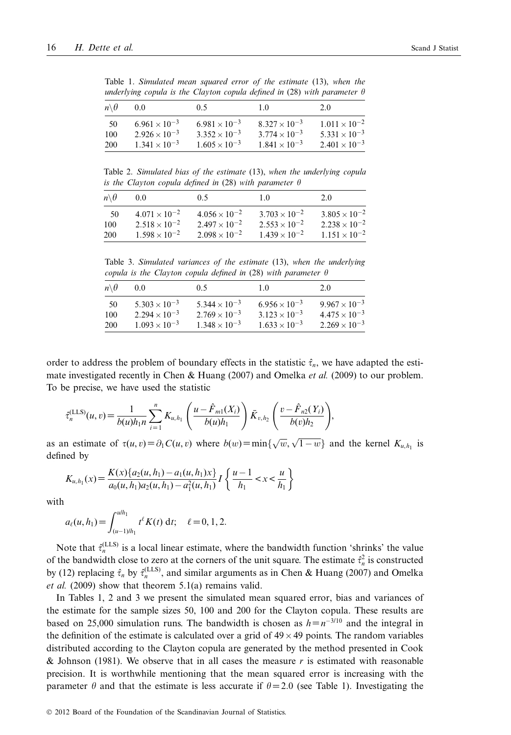|                       | unaertying copula is the Clayton copula aefined in (20) with parameter o |                        |                        |                        |  |  |  |  |  |
|-----------------------|--------------------------------------------------------------------------|------------------------|------------------------|------------------------|--|--|--|--|--|
| $n \backslash \theta$ | 0.0                                                                      | 0.5                    | 10                     | 20                     |  |  |  |  |  |
| -50                   | $6.961 \times 10^{-3}$                                                   | $6.981 \times 10^{-3}$ | $8.327 \times 10^{-3}$ | $1.011 \times 10^{-2}$ |  |  |  |  |  |
| 100                   | $2.926 \times 10^{-3}$                                                   | $3.352 \times 10^{-3}$ | $3.774 \times 10^{-3}$ | $5.331 \times 10^{-3}$ |  |  |  |  |  |
| 200                   | $1.341 \times 10^{-3}$                                                   | $1.605 \times 10^{-3}$ | $1.841 \times 10^{-3}$ | $2.401 \times 10^{-3}$ |  |  |  |  |  |
|                       |                                                                          |                        |                        |                        |  |  |  |  |  |

Table 1. *Simulated mean squared error of the estimate* (13), *when the underlying copula is the Clayton copula defined in* (28) *with parameter*

Table 2. *Simulated bias of the estimate* (13), *when the underlying copula is the Clayton copula defined in* (28) *with parameter*

| $n \backslash \theta$ | 00                     | 0.5                    | 10                     | 20                     |
|-----------------------|------------------------|------------------------|------------------------|------------------------|
| -50                   | $4.071 \times 10^{-2}$ | $4.056 \times 10^{-2}$ | $3.703 \times 10^{-2}$ | $3.805 \times 10^{-2}$ |
| 100                   | $2.518 \times 10^{-2}$ | $2.497 \times 10^{-2}$ | $2.553 \times 10^{-2}$ | $2.238 \times 10^{-2}$ |
| 200                   | $1.598 \times 10^{-2}$ | $2.098 \times 10^{-2}$ | $1.439 \times 10^{-2}$ | $1.151 \times 10^{-2}$ |

Table 3. *Simulated variances of the estimate* (13), *when the underlying copula is the Clayton copula defined in* (28) *with parameter*

| $n \backslash \theta$ | 00                     | 0.5                             | 10                     | 20                     |
|-----------------------|------------------------|---------------------------------|------------------------|------------------------|
| 50                    | $5.303 \times 10^{-3}$ | 5.344 $\times$ 10 <sup>-3</sup> | $6.956 \times 10^{-3}$ | $9.967 \times 10^{-3}$ |
| 100                   | $2.294 \times 10^{-3}$ | $2.769 \times 10^{-3}$          | $3.123 \times 10^{-3}$ | $4.475 \times 10^{-3}$ |
|                       | $1.093 \times 10^{-3}$ | $1.348 \times 10^{-3}$          | $1.633 \times 10^{-3}$ | $2.269 \times 10^{-3}$ |
| <b>200</b>            |                        |                                 |                        |                        |

order to address the problem of boundary effects in the statistic  $\hat{\tau}_n$ , we have adapted the estimate investigated recently in Chen & Huang (2007) and Omelka *et al.* (2009) to our problem. To be precise, we have used the statistic

$$
\hat{\tau}_n^{(LLS)}(u,v) = \frac{1}{b(u)h_1n} \sum_{i=1}^n K_{u,h_1}\left(\frac{u-\hat{F}_{m1}(X_i)}{b(u)h_1}\right) \bar{K}_{v,h_2}\left(\frac{v-\hat{F}_{n2}(Y_i)}{b(v)h_2}\right),
$$

as an estimate of  $\tau(u, v) = \partial_1 C(u, v)$  where  $b(w) = \min\{\sqrt{w}, \sqrt{1-w}\}\)$  and the kernel  $K_{u, h_1}$  is defined by

$$
K_{u,h_1}(x) = \frac{K(x)\{a_2(u,h_1) - a_1(u,h_1)x\}}{a_0(u,h_1)a_2(u,h_1) - a_1^2(u,h_1)} I\left\{\frac{u-1}{h_1} < x < \frac{u}{h_1}\right\}
$$

with

$$
a_{\ell}(u, h_1) = \int_{(u-1)/h_1}^{u/h_1} t^{\ell} K(t) dt; \quad \ell = 0, 1, 2.
$$

Note that  $\hat{\tau}_n^{\text{(LLS)}}$  is a local linear estimate, where the bandwidth function 'shrinks' the value of the bandwidth close to zero at the corners of the unit square. The estimate  $\hat{\tau}_n^2$  is constructed by (12) replacing  $\hat{\tau}_n$  by  $\hat{\tau}_n^{\text{(LLS)}}$ , and similar arguments as in Chen & Huang (2007) and Omelka *et al.* (2009) show that theorem 5.1(a) remains valid.

In Tables 1, 2 and 3 we present the simulated mean squared error, bias and variances of the estimate for the sample sizes 50, 100 and 200 for the Clayton copula. These results are based on 25,000 simulation runs. The bandwidth is chosen as  $h=n^{-3/10}$  and the integral in the definition of the estimate is calculated over a grid of  $49 \times 49$  points. The random variables distributed according to the Clayton copula are generated by the method presented in Cook & Johnson (1981). We observe that in all cases the measure *r* is estimated with reasonable precision. It is worthwhile mentioning that the mean squared error is increasing with the parameter  $\theta$  and that the estimate is less accurate if  $\theta = 2.0$  (see Table 1). Investigating the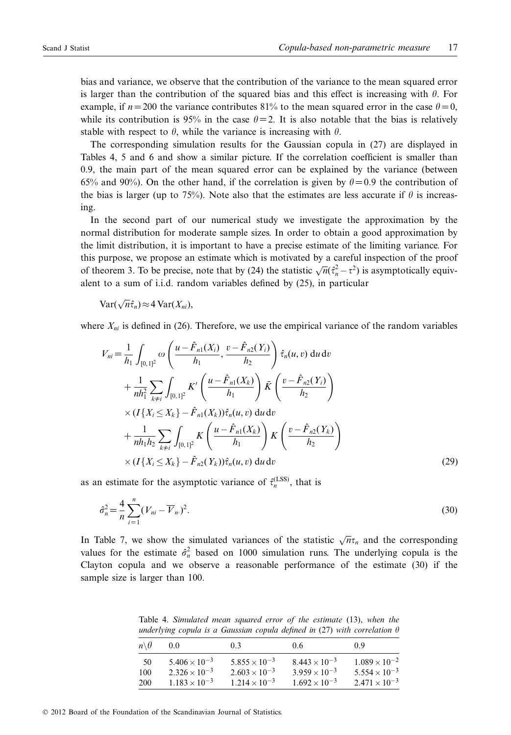bias and variance, we observe that the contribution of the variance to the mean squared error is larger than the contribution of the squared bias and this effect is increasing with  $\theta$ . For example, if  $n = 200$  the variance contributes 81% to the mean squared error in the case  $\theta = 0$ , while its contribution is 95% in the case  $\theta = 2$ . It is also notable that the bias is relatively stable with respect to  $\theta$ , while the variance is increasing with  $\theta$ .

The corresponding simulation results for the Gaussian copula in (27) are displayed in Tables 4, 5 and 6 and show a similar picture. If the correlation coefficient is smaller than 0.9, the main part of the mean squared error can be explained by the variance (between 65% and 90%). On the other hand, if the correlation is given by  $\theta = 0.9$  the contribution of the bias is larger (up to 75%). Note also that the estimates are less accurate if  $\theta$  is increasthe bias is larger (up to 75%). Note also that the estimates are less accurate if  $\theta$  is increasing.

In the second part of our numerical study we investigate the approximation by the normal distribution for moderate sample sizes. In order to obtain a good approximation by the limit distribution, it is important to have a precise estimate of the limiting variance. For this purpose, we propose an estimate which is motivated by a careful inspection of the proof of theorem 3. To be precise, note that by (24) the statistic  $\sqrt{n}(\hat{\tau}_n^2 - \tau^2)$  is asymptotically equivalent to a sum of i.i.d. random variables defined by (25), in particular

$$
\text{Var}(\sqrt{n}\hat{\tau}_n) \approx 4 \text{Var}(X_{ni}),
$$

where  $X_{ni}$  is defined in (26). Therefore, we use the empirical variance of the random variables

$$
V_{ni} = \frac{1}{h_1} \int_{[0,1]^2} \omega \left( \frac{u - \hat{F}_{n1}(X_i)}{h_1}, \frac{v - \hat{F}_{n2}(Y_i)}{h_2} \right) \hat{\tau}_n(u, v) du dv + \frac{1}{nh_1^2} \sum_{k \neq i} \int_{[0,1]^2} K' \left( \frac{u - \hat{F}_{n1}(X_k)}{h_1} \right) \bar{K} \left( \frac{v - \hat{F}_{n2}(Y_i)}{h_2} \right) \times (I\{X_i \le X_k\} - \hat{F}_{n1}(X_k)) \hat{\tau}_n(u, v) du dv + \frac{1}{nh_1h_2} \sum_{k \neq i} \int_{[0,1]^2} K \left( \frac{u - \hat{F}_{n1}(X_k)}{h_1} \right) K \left( \frac{v - \hat{F}_{n2}(Y_k)}{h_2} \right) \times (I\{X_i \le X_k\} - \hat{F}_{n2}(Y_k)) \hat{\tau}_n(u, v) du dv
$$
\n(29)

as an estimate for the asymptotic variance of  $\hat{\tau}_n^{\text{(LSS)}}$ , that is

$$
\hat{\sigma}_n^2 = \frac{4}{n} \sum_{i=1}^n (V_{ni} - \overline{V}_n)^2.
$$
\n(30)

In Table 7, we show the simulated variances of the statistic  $\sqrt{n}\tau_n$  and the corresponding values for the estimate  $\hat{\sigma}_n^2$  based on 1000 simulation runs. The underlying copula is the Clayton copula and we observe a reasonable performance of the estimate (30) if the sample size is larger than 100.

Table 4. *Simulated mean squared error of the estimate* (13), *when the underlying copula is a Gaussian copula defined in* (27) *with correlation*

| $n \backslash \theta$ | 00                     | 03                     | 0.6                    | 09                     |
|-----------------------|------------------------|------------------------|------------------------|------------------------|
| 50                    | $5.406 \times 10^{-3}$ | $5.855 \times 10^{-3}$ | $8.443 \times 10^{-3}$ | $1.089 \times 10^{-2}$ |
| 100                   | $2.326 \times 10^{-3}$ | $2.603 \times 10^{-3}$ | $3.959 \times 10^{-3}$ | $5.554 \times 10^{-3}$ |
| 200                   | $1.183 \times 10^{-3}$ | $1.214 \times 10^{-3}$ | $1.692 \times 10^{-3}$ | $2.471 \times 10^{-3}$ |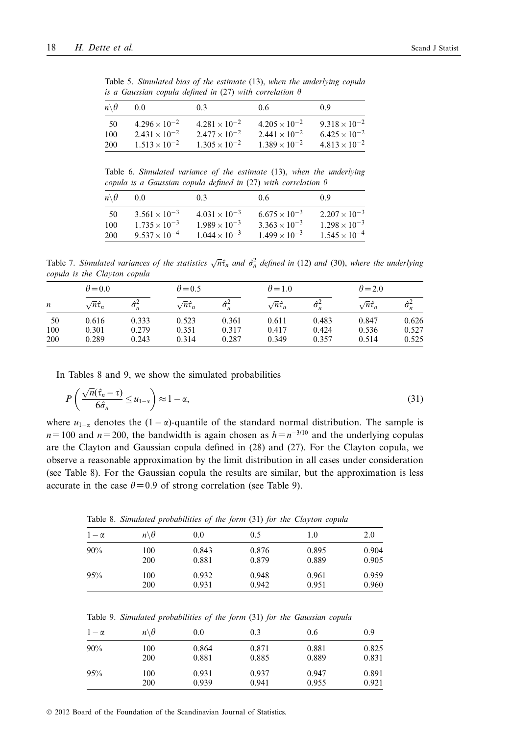| $n \backslash \theta$ | 0.0                    | 0.3                    | 0.6                    | 09                     |
|-----------------------|------------------------|------------------------|------------------------|------------------------|
| -50                   | $4.296 \times 10^{-2}$ | $4.281 \times 10^{-2}$ | $4.205 \times 10^{-2}$ | $9.318 \times 10^{-2}$ |
| 100                   | $2.431 \times 10^{-2}$ | $2.477 \times 10^{-2}$ | $2.441 \times 10^{-2}$ | $6.425 \times 10^{-2}$ |
| 200                   | $1.513 \times 10^{-2}$ | $1.305 \times 10^{-2}$ | $1.389 \times 10^{-2}$ | $4.813 \times 10^{-2}$ |
|                       |                        |                        |                        |                        |

Table 5. *Simulated bias of the estimate* (13), *when the underlying copula is a Gaussian copula defined in* (27) *with correlation*

Table 6. *Simulated variance of the estimate* (13), *when the underlying copula is a Gaussian copula defined in* (27) *with correlation*

| $n \backslash \theta$ | 00                     | 03                     | 06                     | 09                     |
|-----------------------|------------------------|------------------------|------------------------|------------------------|
| 50                    | $3.561 \times 10^{-3}$ | $4.031 \times 10^{-3}$ | $6.675 \times 10^{-3}$ | $2.207 \times 10^{-3}$ |
| 100                   | $1.735 \times 10^{-3}$ | $1.989 \times 10^{-3}$ | $3.363 \times 10^{-3}$ | $1.298 \times 10^{-3}$ |
| <b>200</b>            | $9.537 \times 10^{-4}$ | $1.044 \times 10^{-3}$ | $1.499 \times 10^{-3}$ | $1.545 \times 10^{-4}$ |

Table 7. *Simulated variances of the statistics*  $\sqrt{n}\hat{\tau}_n$  *and*  $\hat{\sigma}_n^2$  *defined in* (12) *and* (30), *where the underlying copula is the Clayton copula*

|                  | $\theta = 0.0$         |                       |                        |                       | $\theta$ = 1.0         |                                     | $\theta$ = 2.0         |       |
|------------------|------------------------|-----------------------|------------------------|-----------------------|------------------------|-------------------------------------|------------------------|-------|
| $\boldsymbol{n}$ | $\sqrt{n}\hat{\tau}_n$ | $\Delta$ <sup>2</sup> | $\sqrt{n}\hat{\tau}_n$ | $\Delta$ <sup>2</sup> | $\sqrt{n}\hat{\tau}_n$ | $\Delta$ <sup>2</sup><br>$\sigma_n$ | $\sqrt{n}\hat{\tau}_n$ |       |
| 50               | 0.616                  | 0.333                 | 0.523                  | 0.361                 | 0.611                  | 0.483                               | 0.847                  | 0.626 |
| 100              | 0.301                  | 0.279                 | 0.351                  | 0.317                 | 0.417                  | 0.424                               | 0.536                  | 0.527 |
| 200              | 0.289                  | 0.243                 | 0.314                  | 0.287                 | 0.349                  | 0.357                               | 0.514                  | 0.525 |

In Tables 8 and 9, we show the simulated probabilities

$$
P\left(\frac{\sqrt{n}(\hat{\tau}_n - \tau)}{6\hat{\sigma}_n} \le u_{1-\alpha}\right) \approx 1 - \alpha,
$$
\n(31)

where  $u_{1-\alpha}$  denotes the  $(1-\alpha)$ -quantile of the standard normal distribution. The sample is  $n=100$  and  $n=200$ , the bandwidth is again chosen as  $h=n^{-3/10}$  and the underlying copulas are the Clayton and Gaussian copula defined in (28) and (27). For the Clayton copula, we observe a reasonable approximation by the limit distribution in all cases under consideration (see Table 8). For the Gaussian copula the results are similar, but the approximation is less accurate in the case  $\theta = 0.9$  of strong correlation (see Table 9).

| Table 6. Bimalated problematics of the form (51) for the Clayton copilat |                       |       |       |       |       |  |  |  |
|--------------------------------------------------------------------------|-----------------------|-------|-------|-------|-------|--|--|--|
| $1-\alpha$                                                               | $n \backslash \theta$ | 0.0   | 0.5   | 1.0   | 2.0   |  |  |  |
| 90%                                                                      | 100                   | 0.843 | 0.876 | 0.895 | 0.904 |  |  |  |
|                                                                          | 200                   | 0.881 | 0.879 | 0.889 | 0.905 |  |  |  |
| 95%                                                                      | 100                   | 0.932 | 0.948 | 0.961 | 0.959 |  |  |  |
|                                                                          | 200                   | 0.931 | 0.942 | 0.951 | 0.960 |  |  |  |

Table 8. *Simulated probabilities of the form* (31) *for the Clayton copula*

| Table 9. Simulated probabilities of the form (31) for the Gaussian copula |  |  |  |  |
|---------------------------------------------------------------------------|--|--|--|--|
|                                                                           |  |  |  |  |

| $1-\alpha$ | $n \backslash \theta$ | 0.0   | 0.3   | 0.6   | 0.9   |
|------------|-----------------------|-------|-------|-------|-------|
| 90%        | 100                   | 0.864 | 0.871 | 0.881 | 0.825 |
|            | 200                   | 0.881 | 0.885 | 0.889 | 0.831 |
| 95%        | 100                   | 0.931 | 0.937 | 0.947 | 0.891 |
|            | 200                   | 0.939 | 0.941 | 0.955 | 0.921 |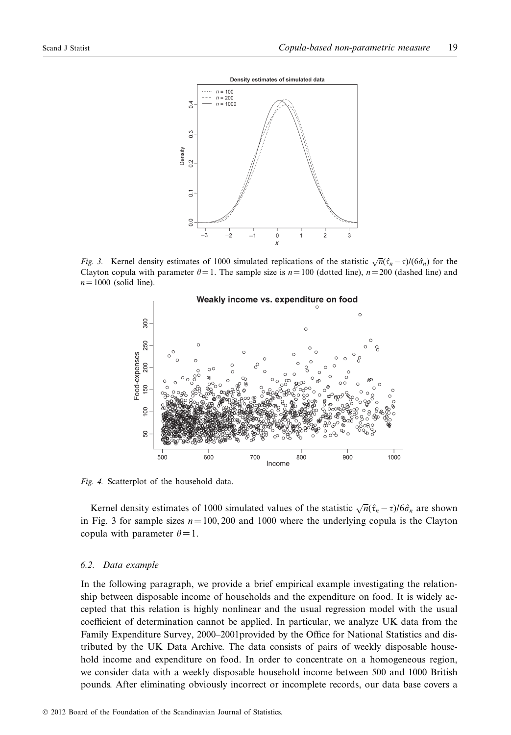

*Fig.* 3. Kernel density estimates of 1000 simulated replications of the statistic  $\sqrt{n}(\hat{\tau}_n - \tau) / (\hat{\sigma}_n^2)$  for the Clayton copula with parameter  $\theta = 1$ . The sample size is  $n = 100$  (dotted line),  $n = 200$  (dashed line) and  $n=1000$  (solid line).



*Fig. 4.* Scatterplot of the household data.

Kernel density estimates of 1000 simulated values of the statistic  $\sqrt{n}(\hat{\tau}_n - \tau)/6\hat{\sigma}_n$  are shown in Fig. 3 for sample sizes  $n=100, 200$  and 1000 where the underlying copula is the Clayton copula with parameter  $\theta = 1$ .

## *6.2. Data example*

In the following paragraph, we provide a brief empirical example investigating the relationship between disposable income of households and the expenditure on food. It is widely accepted that this relation is highly nonlinear and the usual regression model with the usual coefficient of determination cannot be applied. In particular, we analyze UK data from the Family Expenditure Survey, 2000–2001provided by the Office for National Statistics and distributed by the UK Data Archive. The data consists of pairs of weekly disposable household income and expenditure on food. In order to concentrate on a homogeneous region, we consider data with a weekly disposable household income between 500 and 1000 British pounds. After eliminating obviously incorrect or incomplete records, our data base covers a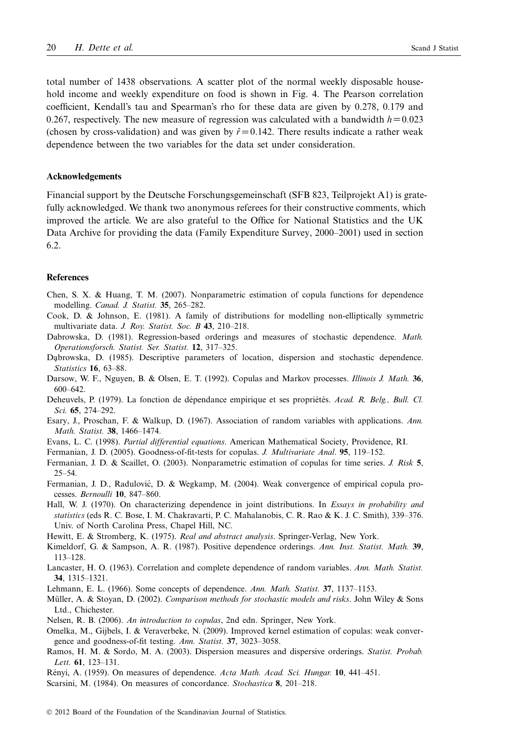total number of 1438 observations. A scatter plot of the normal weekly disposable household income and weekly expenditure on food is shown in Fig. 4. The Pearson correlation coefficient, Kendall's tau and Spearman's rho for these data are given by 0.278, 0.179 and 0.267, respectively. The new measure of regression was calculated with a bandwidth  $h=0.023$ (chosen by cross-validation) and was given by  $\hat{r} = 0.142$ . There results indicate a rather weak dependence between the two variables for the data set under consideration.

# **Acknowledgements**

Financial support by the Deutsche Forschungsgemeinschaft (SFB 823, Teilprojekt A1) is gratefully acknowledged. We thank two anonymous referees for their constructive comments, which improved the article. We are also grateful to the Office for National Statistics and the UK Data Archive for providing the data (Family Expenditure Survey, 2000–2001) used in section 6.2.

#### **References**

- Chen, S. X. & Huang, T. M. (2007). Nonparametric estimation of copula functions for dependence modelling. *Canad. J. Statist.* **35**, 265–282.
- Cook, D. & Johnson, E. (1981). A family of distributions for modelling non-elliptically symmetric multivariate data. *J. Roy. Statist. Soc. B* **43**, 210–218.
- Dabrowska, D. (1981). Regression-based orderings and measures of stochastic dependence. *Math. Operationsforsch. Statist. Ser. Statist.* **12**, 317–325.
- Dabrowska, D. (1985). Descriptive parameters of location, dispersion and stochastic dependence. *Statistics* **16**, 63–88.
- Darsow, W. F., Nguyen, B. & Olsen, E. T. (1992). Copulas and Markov processes. *Illinois J. Math.* **36**, 600–642.
- Deheuvels, P. (1979). La fonction de dépendance empirique et ses propriétés. *Acad. R. Belg., Bull. Cl. Sci.* **65**, 274–292.
- Esary, J., Proschan, F. & Walkup, D. (1967). Association of random variables with applications. *Ann. Math. Statist.* **38**, 1466–1474.
- Evans, L. C. (1998). *Partial differential equations*. American Mathematical Society, Providence, RI.
- Fermanian, J. D. (2005). Goodness-of-fit-tests for copulas. *J. Multivariate Anal*. **95**, 119–152.
- Fermanian, J. D. & Scaillet, O. (2003). Nonparametric estimation of copulas for time series. *J. Risk* **5**, 25–54.
- Fermanian, J. D., Radulović, D. & Wegkamp, M. (2004). Weak convergence of empirical copula processes. *Bernoulli* **10**, 847–860.
- Hall, W. J. (1970). On characterizing dependence in joint distributions. In *Essays in probability and statistics* (eds R. C. Bose, I. M. Chakravarti, P. C. Mahalanobis, C. R. Rao & K. J. C. Smith), 339–376. Univ. of North Carolina Press, Chapel Hill, NC.
- Hewitt, E. & Stromberg, K. (1975). *Real and abstract analysis*. Springer-Verlag, New York.
- Kimeldorf, G. & Sampson, A. R. (1987). Positive dependence orderings. *Ann. Inst. Statist. Math.* **39**, 113–128.
- Lancaster, H. O. (1963). Correlation and complete dependence of random variables. *Ann. Math. Statist.* **34**, 1315–1321.
- Lehmann, E. L. (1966). Some concepts of dependence. *Ann. Math. Statist.* **37**, 1137–1153.
- Müller, A. & Stoyan, D. (2002). *Comparison methods for stochastic models and risks*. John Wiley & Sons Ltd., Chichester.
- Nelsen, R. B. (2006). *An introduction to copulas*, 2nd edn. Springer, New York.
- Omelka, M., Gijbels, I. & Veraverbeke, N. (2009). Improved kernel estimation of copulas: weak convergence and goodness-of-fit testing. *Ann. Statist.* **37**, 3023–3058.
- Ramos, H. M. & Sordo, M. A. (2003). Dispersion measures and dispersive orderings. *Statist. Probab. Lett.* **61**, 123–131.

Rényi, A. (1959). On measures of dependence. *Acta Math. Acad. Sci. Hungar.* **10**, 441–451.

Scarsini, M. (1984). On measures of concordance. *Stochastica* **8**, 201–218.